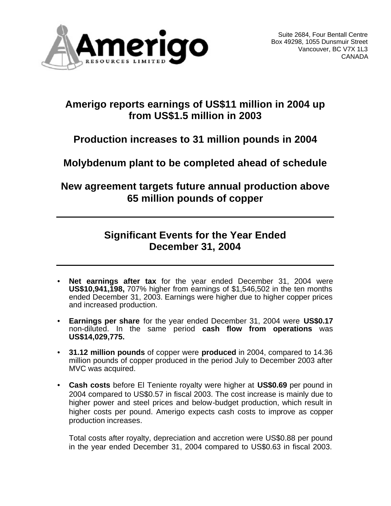

# **Amerigo reports earnings of US\$11 million in 2004 up from US\$1.5 million in 2003**

# **Production increases to 31 million pounds in 2004**

**Molybdenum plant to be completed ahead of schedule**

**New agreement targets future annual production above 65 million pounds of copper** 

# **Significant Events for the Year Ended December 31, 2004**

- Net earnings after tax for the year ended December 31, 2004 were **US\$10,941,198,** 707% higher from earnings of \$1,546,502 in the ten months ended December 31, 2003. Earnings were higher due to higher copper prices and increased production.
- **Earnings per share** for the year ended December 31, 2004 were **US\$0.17** non-diluted. In the same period **cash flow from operations** was **US\$14,029,775.**
- **31.12 million pounds** of copper were **produced** in 2004, compared to 14.36 million pounds of copper produced in the period July to December 2003 after MVC was acquired.
- **Cash costs** before El Teniente royalty were higher at **US\$0.69** per pound in 2004 compared to US\$0.57 in fiscal 2003. The cost increase is mainly due to higher power and steel prices and below-budget production, which result in higher costs per pound. Amerigo expects cash costs to improve as copper production increases.

Total costs after royalty, depreciation and accretion were US\$0.88 per pound in the year ended December 31, 2004 compared to US\$0.63 in fiscal 2003.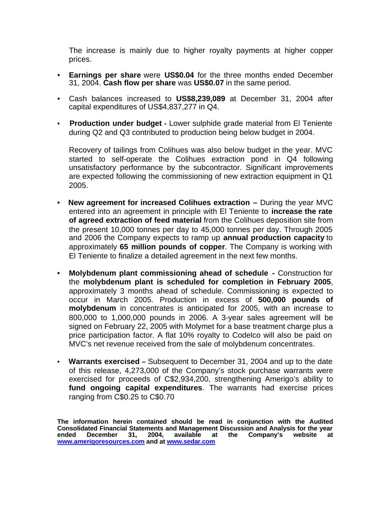The increase is mainly due to higher royalty payments at higher copper prices.

- **Earnings per share** were **US\$0.04** for the three months ended December 31, 2004. **Cash flow per share** was **US\$0.07** in the same period.
- Cash balances increased to **US\$8,239,089** at December 31, 2004 after capital expenditures of US\$4,837,277 in Q4.
- • **Production under budget -** Lower sulphide grade material from El Teniente during Q2 and Q3 contributed to production being below budget in 2004.

Recovery of tailings from Colihues was also below budget in the year. MVC started to self-operate the Colihues extraction pond in Q4 following unsatisfactory performance by the subcontractor. Significant improvements are expected following the commissioning of new extraction equipment in Q1 2005.

- **New agreement for increased Colihues extraction –** During the year MVC entered into an agreement in principle with El Teniente to **increase the rate of agreed extraction of feed material** from the Colihues deposition site from the present 10,000 tonnes per day to 45,000 tonnes per day. Through 2005 and 2006 the Company expects to ramp up **annual production capacity** to approximately **65 million pounds of copper**. The Company is working with El Teniente to finalize a detailed agreement in the next few months.
- **Molybdenum plant commissioning ahead of schedule -** Construction for the **molybdenum plant is scheduled for completion in February 2005**, approximately 3 months ahead of schedule. Commissioning is expected to occur in March 2005. Production in excess of **500,000 pounds of molybdenum** in concentrates is anticipated for 2005, with an increase to 800,000 to 1,000,000 pounds in 2006. A 3-year sales agreement will be signed on February 22, 2005 with Molymet for a base treatment charge plus a price participation factor. A flat 10% royalty to Codelco will also be paid on MVC's net revenue received from the sale of molybdenum concentrates.
- • **Warrants exercised –** Subsequent to December 31, 2004 and up to the date of this release, 4,273,000 of the Company's stock purchase warrants were exercised for proceeds of C\$2,934,200, strengthening Amerigo's ability to **fund ongoing capital expenditures**. The warrants had exercise prices ranging from C\$0.25 to C\$0.70

**The information herein contained should be read in conjunction with the Audited Consolidated Financial Statements and Management Discussion and Analysis for the year Company's www.amerigoresources.com and at www.sedar.com**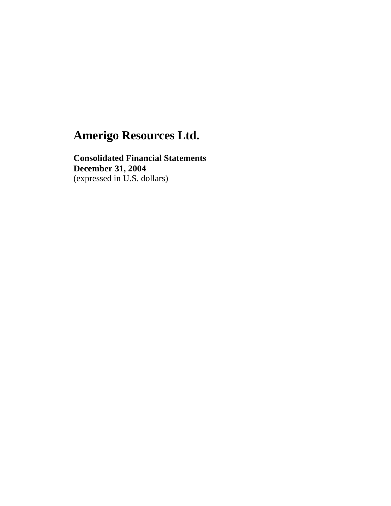**Consolidated Financial Statements December 31, 2004** (expressed in U.S. dollars)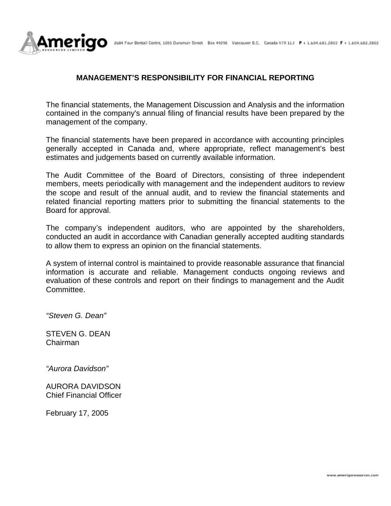

### **MANAGEMENT'S RESPONSIBILITY FOR FINANCIAL REPORTING**

The financial statements, the Management Discussion and Analysis and the information contained in the company's annual filing of financial results have been prepared by the management of the company.

The financial statements have been prepared in accordance with accounting principles generally accepted in Canada and, where appropriate, reflect management's best estimates and judgements based on currently available information.

The Audit Committee of the Board of Directors, consisting of three independent members, meets periodically with management and the independent auditors to review the scope and result of the annual audit, and to review the financial statements and related financial reporting matters prior to submitting the financial statements to the Board for approval.

The company's independent auditors, who are appointed by the shareholders, conducted an audit in accordance with Canadian generally accepted auditing standards to allow them to express an opinion on the financial statements.

A system of internal control is maintained to provide reasonable assurance that financial information is accurate and reliable. Management conducts ongoing reviews and evaluation of these controls and report on their findings to management and the Audit Committee.

*"Steven G. Dean"*

STEVEN G. DEAN Chairman

*"Aurora Davidson"*

AURORA DAVIDSON Chief Financial Officer

February 17, 2005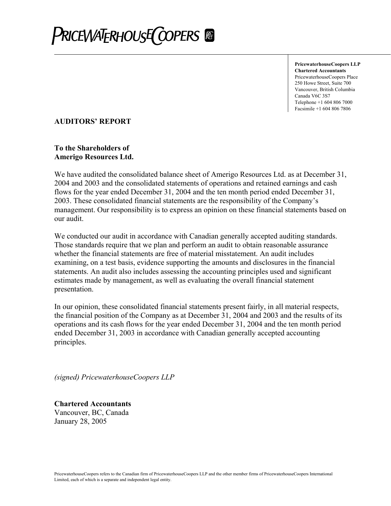

**PricewaterhouseCoopers LLP Chartered Accountants** PricewaterhouseCoopers Place 250 Howe Street, Suite 700 Vancouver, British Columbia Canada V6C 3S7 Telephone +1 604 806 7000 Facsimile +1 604 806 7806

### **AUDITORS' REPORT**

### **To the Shareholders of Amerigo Resources Ltd.**

We have audited the consolidated balance sheet of Amerigo Resources Ltd. as at December 31, 2004 and 2003 and the consolidated statements of operations and retained earnings and cash flows for the year ended December 31, 2004 and the ten month period ended December 31, 2003. These consolidated financial statements are the responsibility of the Company's management. Our responsibility is to express an opinion on these financial statements based on our audit.

We conducted our audit in accordance with Canadian generally accepted auditing standards. Those standards require that we plan and perform an audit to obtain reasonable assurance whether the financial statements are free of material misstatement. An audit includes examining, on a test basis, evidence supporting the amounts and disclosures in the financial statements. An audit also includes assessing the accounting principles used and significant estimates made by management, as well as evaluating the overall financial statement presentation.

In our opinion, these consolidated financial statements present fairly, in all material respects, the financial position of the Company as at December 31, 2004 and 2003 and the results of its operations and its cash flows for the year ended December 31, 2004 and the ten month period ended December 31, 2003 in accordance with Canadian generally accepted accounting principles.

*(signed) PricewaterhouseCoopers LLP* 

**Chartered Accountants**  Vancouver, BC, Canada January 28, 2005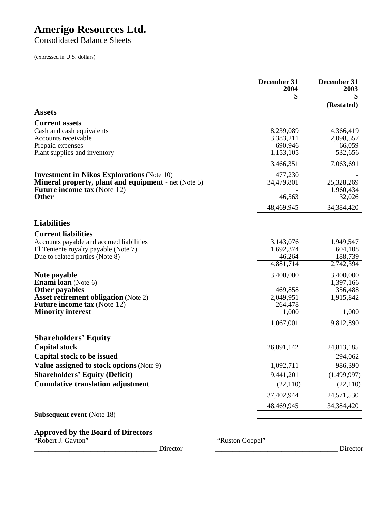Consolidated Balance Sheets

(expressed in U.S. dollars)

|                                                                                                                                                                                      | December 31<br>2004<br>\$                             | December 31<br>2003<br>(Restated)                       |
|--------------------------------------------------------------------------------------------------------------------------------------------------------------------------------------|-------------------------------------------------------|---------------------------------------------------------|
| <b>Assets</b>                                                                                                                                                                        |                                                       |                                                         |
| <b>Current assets</b><br>Cash and cash equivalents<br>Accounts receivable<br>Prepaid expenses<br>Plant supplies and inventory                                                        | 8,239,089<br>3,383,211<br>690,946<br>1,153,105        | 4,366,419<br>2,098,557<br>66,059<br>532,656             |
|                                                                                                                                                                                      | 13,466,351                                            | 7,063,691                                               |
| <b>Investment in Nikos Explorations (Note 10)</b><br><b>Mineral property, plant and equipment</b> - net (Note 5)<br><b>Future income tax (Note 12)</b><br><b>Other</b>               | 477,230<br>34,479,801<br>46,563<br>48,469,945         | 25,328,269<br>1,960,434<br>32,026<br>34,384,420         |
|                                                                                                                                                                                      |                                                       |                                                         |
| <b>Liabilities</b>                                                                                                                                                                   |                                                       |                                                         |
| <b>Current liabilities</b><br>Accounts payable and accrued liabilities<br>El Teniente royalty payable (Note 7)<br>Due to related parties (Note 8)                                    | 3,143,076<br>1,692,374<br>46,264<br>4,881,714         | 1,949,547<br>604,108<br>188,739<br>2,742,394            |
| Note payable<br><b>Enami loan</b> (Note 6)<br><b>Other payables</b><br><b>Asset retirement obligation (Note 2)</b><br><b>Future income tax (Note 12)</b><br><b>Minority interest</b> | 3,400,000<br>469,858<br>2,049,951<br>264,478<br>1,000 | 3,400,000<br>1,397,166<br>356,488<br>1,915,842<br>1,000 |
|                                                                                                                                                                                      | 11,067,001                                            | 9,812,890                                               |
| <b>Shareholders' Equity</b><br><b>Capital stock</b>                                                                                                                                  | 26,891,142                                            | 24,813,185                                              |
| Capital stock to be issued                                                                                                                                                           |                                                       | 294,062                                                 |
| Value assigned to stock options (Note 9)<br><b>Shareholders' Equity (Deficit)</b><br><b>Cumulative translation adjustment</b>                                                        | 1,092,711<br>9,441,201<br>(22, 110)                   | 986,390<br>(1,499,997)<br>(22,110)                      |
|                                                                                                                                                                                      | 37,402,944                                            | 24,571,530                                              |
|                                                                                                                                                                                      | 48,469,945                                            | 34,384,420                                              |
| <b>Subsequent event (Note 18)</b>                                                                                                                                                    |                                                       |                                                         |
| <b>Approved by the Board of Directors</b>                                                                                                                                            |                                                       |                                                         |

"Robert J. Gayton" "Ruston Goepel"

\_\_\_\_\_\_\_\_\_\_\_\_\_\_\_\_\_\_\_\_\_\_\_\_\_\_\_\_\_\_\_\_\_\_\_ Director \_\_\_\_\_\_\_\_\_\_\_\_\_\_\_\_\_\_\_\_\_\_\_\_\_\_\_\_\_\_\_\_\_\_\_ Director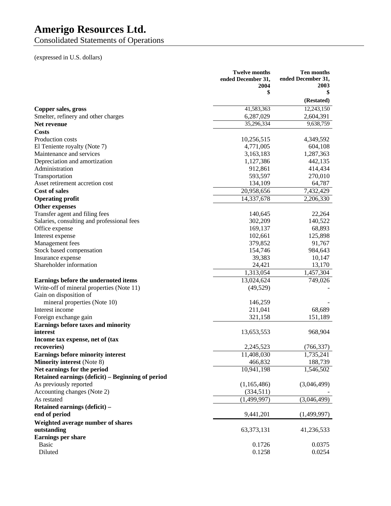Consolidated Statements of Operations

(expressed in U.S. dollars)

|                                                           | <b>Twelve months</b><br>ended December 31,<br>2004 | Ten months<br>ended December 31,<br>2003 |
|-----------------------------------------------------------|----------------------------------------------------|------------------------------------------|
|                                                           | \$                                                 | \$<br>(Restated)                         |
|                                                           | 41,583,363                                         | 12,243,150                               |
| Copper sales, gross                                       |                                                    |                                          |
| Smelter, refinery and other charges<br><b>Net revenue</b> | 6,287,029<br>35,296,334                            | 2,604,391<br>9,638,759                   |
| Costs                                                     |                                                    |                                          |
| Production costs                                          |                                                    |                                          |
|                                                           | 10,256,515                                         | 4,349,592                                |
| El Teniente royalty (Note 7)<br>Maintenance and services  | 4,771,005                                          | 604,108<br>1,287,363                     |
|                                                           | 3,163,183<br>1,127,386                             | 442,135                                  |
| Depreciation and amortization<br>Administration           | 912,861                                            | 414,434                                  |
|                                                           |                                                    |                                          |
| Transportation<br>Asset retirement accretion cost         | 593,597                                            | 270,010                                  |
| <b>Cost of sales</b>                                      | 134,109                                            | 64,787                                   |
|                                                           | 20,958,656                                         | 7,432,429                                |
| <b>Operating profit</b>                                   | 14,337,678                                         | 2,206,330                                |
| <b>Other expenses</b>                                     |                                                    |                                          |
| Transfer agent and filing fees                            | 140,645                                            | 22,264                                   |
| Salaries, consulting and professional fees                | 302,209                                            | 140,522                                  |
| Office expense                                            | 169,137                                            | 68,893                                   |
| Interest expense                                          | 102,661                                            | 125,898                                  |
| Management fees                                           | 379,852                                            | 91,767                                   |
| Stock based compensation                                  | 154,746                                            | 984,643                                  |
| Insurance expense                                         | 39,383                                             | 10,147                                   |
| Shareholder information                                   | 24,421                                             | 13,170                                   |
|                                                           | 1,313,054                                          | 1,457,304                                |
| Earnings before the undernoted items                      | 13,024,624                                         | 749,026                                  |
| Write-off of mineral properties (Note 11)                 | (49, 529)                                          |                                          |
| Gain on disposition of                                    |                                                    |                                          |
| mineral properties (Note 10)                              | 146,259                                            |                                          |
| Interest income                                           | 211,041                                            | 68,689                                   |
| Foreign exchange gain                                     | 321,158                                            | 151,189                                  |
| Earnings before taxes and minority                        |                                                    |                                          |
| interest                                                  | 13,653,553                                         | 968,904                                  |
| Income tax expense, net of (tax                           |                                                    |                                          |
| recoveries)                                               | 2,245,523                                          | (766, 337)                               |
| <b>Earnings before minority interest</b>                  | 11,408,030                                         | ,735,241                                 |
| <b>Minority interest</b> (Note 8)                         | 466,832                                            | 188,739                                  |
| Net earnings for the period                               | 10,941,198                                         | 1,546,502                                |
| Retained earnings (deficit) - Beginning of period         |                                                    |                                          |
| As previously reported                                    | (1,165,486)                                        | (3,046,499)                              |
| Accounting changes (Note 2)                               | (334,511)                                          |                                          |
| As restated                                               | (1, 499, 997)                                      | (3,046,499)                              |
| Retained earnings (deficit) -                             |                                                    |                                          |
| end of period                                             | 9,441,201                                          | (1,499,997)                              |
| Weighted average number of shares                         |                                                    |                                          |
| outstanding                                               | 63, 373, 131                                       | 41,236,533                               |
| Earnings per share                                        |                                                    |                                          |
| <b>Basic</b>                                              | 0.1726                                             | 0.0375                                   |
| Diluted                                                   | 0.1258                                             | 0.0254                                   |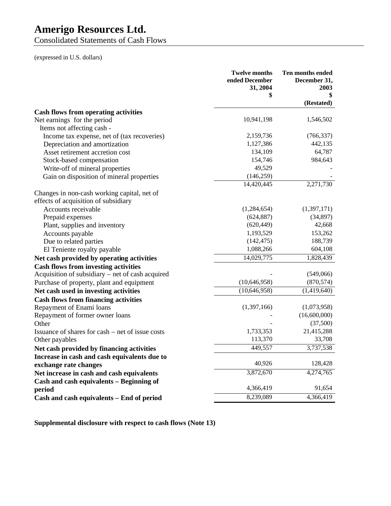Consolidated Statements of Cash Flows

(expressed in U.S. dollars)

|                                                  | <b>Twelve months</b><br>ended December<br>31, 2004<br>\$ | Ten months ended<br>December 31,<br>2003 |
|--------------------------------------------------|----------------------------------------------------------|------------------------------------------|
|                                                  |                                                          | (Restated)                               |
| <b>Cash flows from operating activities</b>      |                                                          |                                          |
| Net earnings for the period                      | 10,941,198                                               | 1,546,502                                |
| Items not affecting cash -                       |                                                          |                                          |
| Income tax expense, net of (tax recoveries)      | 2,159,736                                                | (766, 337)                               |
| Depreciation and amortization                    | 1,127,386                                                | 442,135                                  |
| Asset retirement accretion cost                  | 134,109                                                  | 64,787                                   |
| Stock-based compensation                         | 154,746                                                  | 984,643                                  |
| Write-off of mineral properties                  | 49,529                                                   |                                          |
| Gain on disposition of mineral properties        | (146, 259)                                               |                                          |
|                                                  | 14,420,445                                               | 2,271,730                                |
| Changes in non-cash working capital, net of      |                                                          |                                          |
| effects of acquisition of subsidiary             |                                                          |                                          |
| Accounts receivable                              | (1,284,654)                                              | (1,397,171)                              |
| Prepaid expenses                                 | (624, 887)                                               | (34,897)                                 |
| Plant, supplies and inventory                    | (620, 449)                                               | 42,668                                   |
| Accounts payable                                 | 1,193,529                                                | 153,262                                  |
| Due to related parties                           | (142, 475)                                               | 188,739                                  |
| El Teniente royalty payable                      | 1,088,266                                                | 604,108                                  |
| Net cash provided by operating activities        | 14,029,775                                               | 1,828,439                                |
| <b>Cash flows from investing activities</b>      |                                                          |                                          |
| Acquisition of subsidiary – net of cash acquired |                                                          | (549,066)                                |
| Purchase of property, plant and equipment        | (10, 646, 958)                                           | (870, 574)                               |
| Net cash used in investing activities            | (10,646,958)                                             | (1,419,640)                              |
| <b>Cash flows from financing activities</b>      |                                                          |                                          |
| Repayment of Enami loans                         | (1,397,166)                                              | (1,073,958)                              |
| Repayment of former owner loans                  |                                                          | (16,600,000)                             |
| Other                                            |                                                          | (37,500)                                 |
| Issuance of shares for cash – net of issue costs | 1,733,353                                                | 21,415,288                               |
| Other payables                                   | 113,370                                                  | 33,708                                   |
| Net cash provided by financing activities        | 449,557                                                  | 3,737,538                                |
| Increase in cash and cash equivalents due to     |                                                          |                                          |
| exchange rate changes                            | 40,926                                                   | 128,428                                  |
| Net increase in cash and cash equivalents        | 3,872,670                                                | 4,274,765                                |
| Cash and cash equivalents - Beginning of         |                                                          |                                          |
| period                                           | 4,366,419                                                | 91,654                                   |
| Cash and cash equivalents - End of period        | 8,239,089                                                | 4,366,419                                |

**Supplemental disclosure with respect to cash flows (Note 13)**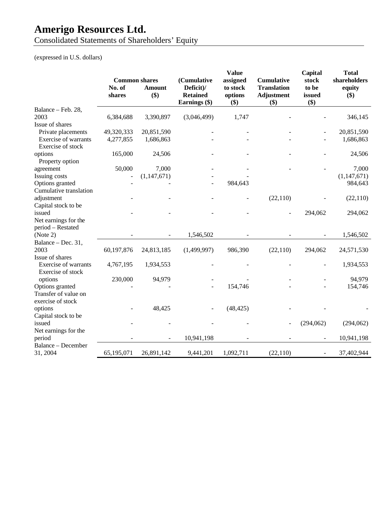Consolidated Statements of Shareholders' Equity

(expressed in U.S. dollars)

|                                                  |                                |               |                                  | <b>Value</b>         |                                         | Capital        | <b>Total</b>           |
|--------------------------------------------------|--------------------------------|---------------|----------------------------------|----------------------|-----------------------------------------|----------------|------------------------|
|                                                  | <b>Common shares</b><br>No. of | <b>Amount</b> | (Cumulative<br>Deficit)/         | assigned<br>to stock | <b>Cumulative</b><br><b>Translation</b> | stock<br>to be | shareholders<br>equity |
|                                                  | shares                         | \$)           | <b>Retained</b><br>Earnings (\$) | options<br>\$)       | <b>Adjustment</b><br>\$)                | issued<br>\$)  | \$)                    |
| Balance - Feb. 28,                               |                                |               |                                  |                      |                                         |                |                        |
| 2003                                             | 6,384,688                      | 3,390,897     | (3,046,499)                      | 1,747                |                                         |                | 346,145                |
| Issue of shares                                  |                                |               |                                  |                      |                                         |                |                        |
| Private placements                               | 49,320,333                     | 20,851,590    |                                  |                      |                                         |                | 20,851,590             |
| Exercise of warrants<br>Exercise of stock        | 4,277,855                      | 1,686,863     |                                  |                      |                                         |                | 1,686,863              |
| options                                          | 165,000                        | 24,506        |                                  |                      |                                         |                | 24,506                 |
| Property option                                  |                                |               |                                  |                      |                                         |                |                        |
| agreement                                        | 50,000                         | 7,000         |                                  |                      |                                         |                | 7,000                  |
| Issuing costs                                    |                                | (1, 147, 671) |                                  |                      |                                         |                | (1, 147, 671)          |
| Options granted                                  |                                |               |                                  | 984,643              |                                         |                | 984,643                |
| Cumulative translation                           |                                |               |                                  |                      |                                         |                |                        |
| adjustment                                       |                                |               |                                  |                      | (22,110)                                |                | (22, 110)              |
| Capital stock to be                              |                                |               |                                  |                      |                                         |                |                        |
| issued                                           |                                |               |                                  |                      |                                         | 294,062        | 294,062                |
| Net earnings for the                             |                                |               |                                  |                      |                                         |                |                        |
| period - Restated                                |                                |               |                                  |                      |                                         |                |                        |
| (Note 2)                                         |                                |               | 1,546,502                        |                      |                                         |                | 1,546,502              |
| Balance - Dec. 31,                               |                                |               |                                  |                      |                                         |                |                        |
| 2003                                             | 60,197,876                     | 24,813,185    | (1,499,997)                      | 986,390              | (22,110)                                | 294,062        | 24,571,530             |
| Issue of shares                                  |                                |               |                                  |                      |                                         |                |                        |
| <b>Exercise of warrants</b><br>Exercise of stock | 4,767,195                      | 1,934,553     |                                  |                      |                                         |                | 1,934,553              |
| options                                          | 230,000                        | 94,979        |                                  |                      |                                         |                | 94,979                 |
| Options granted                                  |                                |               |                                  | 154,746              |                                         |                | 154,746                |
| Transfer of value on<br>exercise of stock        |                                |               |                                  |                      |                                         |                |                        |
| options                                          |                                | 48,425        |                                  | (48, 425)            |                                         |                |                        |
| Capital stock to be                              |                                |               |                                  |                      |                                         |                |                        |
| issued                                           |                                |               |                                  |                      |                                         | (294,062)      | (294,062)              |
| Net earnings for the                             |                                |               |                                  |                      |                                         |                |                        |
| period                                           |                                |               | 10,941,198                       |                      |                                         |                | 10,941,198             |
| <b>Balance - December</b>                        |                                |               |                                  |                      |                                         |                |                        |
| 31, 2004                                         | 65,195,071                     | 26,891,142    | 9,441,201                        | 1,092,711            | (22, 110)                               |                | 37,402,944             |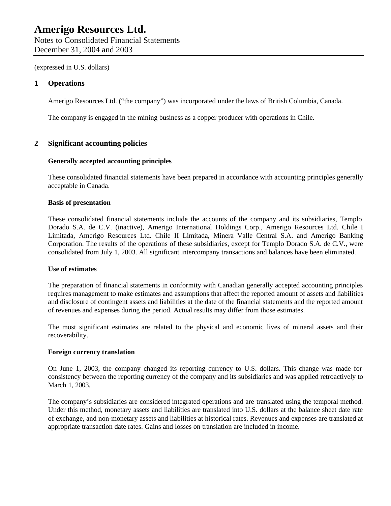(expressed in U.S. dollars)

### **1 Operations**

Amerigo Resources Ltd. ("the company") was incorporated under the laws of British Columbia, Canada.

The company is engaged in the mining business as a copper producer with operations in Chile.

### **2 Significant accounting policies**

#### **Generally accepted accounting principles**

These consolidated financial statements have been prepared in accordance with accounting principles generally acceptable in Canada.

#### **Basis of presentation**

These consolidated financial statements include the accounts of the company and its subsidiaries, Templo Dorado S.A. de C.V. (inactive), Amerigo International Holdings Corp., Amerigo Resources Ltd. Chile I Limitada, Amerigo Resources Ltd. Chile II Limitada, Minera Valle Central S.A. and Amerigo Banking Corporation. The results of the operations of these subsidiaries, except for Templo Dorado S.A. de C.V., were consolidated from July 1, 2003. All significant intercompany transactions and balances have been eliminated.

#### **Use of estimates**

The preparation of financial statements in conformity with Canadian generally accepted accounting principles requires management to make estimates and assumptions that affect the reported amount of assets and liabilities and disclosure of contingent assets and liabilities at the date of the financial statements and the reported amount of revenues and expenses during the period. Actual results may differ from those estimates.

The most significant estimates are related to the physical and economic lives of mineral assets and their recoverability.

#### **Foreign currency translation**

On June 1, 2003, the company changed its reporting currency to U.S. dollars. This change was made for consistency between the reporting currency of the company and its subsidiaries and was applied retroactively to March 1, 2003.

The company's subsidiaries are considered integrated operations and are translated using the temporal method. Under this method, monetary assets and liabilities are translated into U.S. dollars at the balance sheet date rate of exchange, and non-monetary assets and liabilities at historical rates. Revenues and expenses are translated at appropriate transaction date rates. Gains and losses on translation are included in income.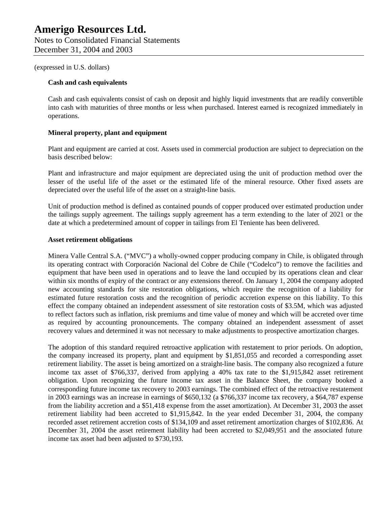(expressed in U.S. dollars)

#### **Cash and cash equivalents**

Cash and cash equivalents consist of cash on deposit and highly liquid investments that are readily convertible into cash with maturities of three months or less when purchased. Interest earned is recognized immediately in operations.

#### **Mineral property, plant and equipment**

Plant and equipment are carried at cost. Assets used in commercial production are subject to depreciation on the basis described below:

Plant and infrastructure and major equipment are depreciated using the unit of production method over the lesser of the useful life of the asset or the estimated life of the mineral resource. Other fixed assets are depreciated over the useful life of the asset on a straight-line basis.

Unit of production method is defined as contained pounds of copper produced over estimated production under the tailings supply agreement. The tailings supply agreement has a term extending to the later of 2021 or the date at which a predetermined amount of copper in tailings from El Teniente has been delivered.

#### **Asset retirement obligations**

Minera Valle Central S.A. ("MVC") a wholly-owned copper producing company in Chile, is obligated through its operating contract with Corporación Nacional del Cobre de Chile ("Codelco") to remove the facilities and equipment that have been used in operations and to leave the land occupied by its operations clean and clear within six months of expiry of the contract or any extensions thereof. On January 1, 2004 the company adopted new accounting standards for site restoration obligations, which require the recognition of a liability for estimated future restoration costs and the recognition of periodic accretion expense on this liability. To this effect the company obtained an independent assessment of site restoration costs of \$3.5M, which was adjusted to reflect factors such as inflation, risk premiums and time value of money and which will be accreted over time as required by accounting pronouncements. The company obtained an independent assessment of asset recovery values and determined it was not necessary to make adjustments to prospective amortization charges.

The adoption of this standard required retroactive application with restatement to prior periods. On adoption, the company increased its property, plant and equipment by \$1,851,055 and recorded a corresponding asset retirement liability. The asset is being amortized on a straight-line basis. The company also recognized a future income tax asset of \$766,337, derived from applying a 40% tax rate to the \$1,915,842 asset retirement obligation. Upon recognizing the future income tax asset in the Balance Sheet, the company booked a corresponding future income tax recovery to 2003 earnings. The combined effect of the retroactive restatement in 2003 earnings was an increase in earnings of \$650,132 (a \$766,337 income tax recovery, a \$64,787 expense from the liability accretion and a \$51,418 expense from the asset amortization). At December 31, 2003 the asset retirement liability had been accreted to \$1,915,842. In the year ended December 31, 2004, the company recorded asset retirement accretion costs of \$134,109 and asset retirement amortization charges of \$102,836. At December 31, 2004 the asset retirement liability had been accreted to \$2,049,951 and the associated future income tax asset had been adjusted to \$730,193.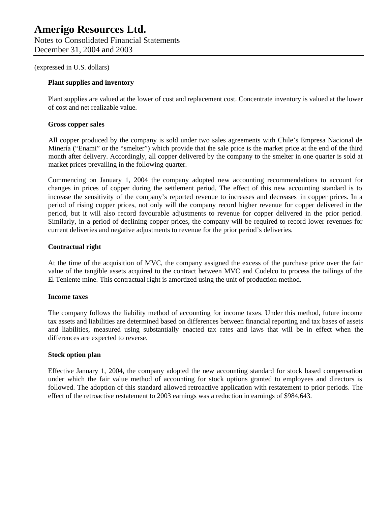(expressed in U.S. dollars)

#### **Plant supplies and inventory**

Plant supplies are valued at the lower of cost and replacement cost. Concentrate inventory is valued at the lower of cost and net realizable value.

#### **Gross copper sales**

All copper produced by the company is sold under two sales agreements with Chile's Empresa Nacional de Minería ("Enami" or the "smelter") which provide that the sale price is the market price at the end of the third month after delivery. Accordingly, all copper delivered by the company to the smelter in one quarter is sold at market prices prevailing in the following quarter.

Commencing on January 1, 2004 the company adopted new accounting recommendations to account for changes in prices of copper during the settlement period. The effect of this new accounting standard is to increase the sensitivity of the company's reported revenue to increases and decreases in copper prices. In a period of rising copper prices, not only will the company record higher revenue for copper delivered in the period, but it will also record favourable adjustments to revenue for copper delivered in the prior period. Similarly, in a period of declining copper prices, the company will be required to record lower revenues for current deliveries and negative adjustments to revenue for the prior period's deliveries.

#### **Contractual right**

At the time of the acquisition of MVC, the company assigned the excess of the purchase price over the fair value of the tangible assets acquired to the contract between MVC and Codelco to process the tailings of the El Teniente mine. This contractual right is amortized using the unit of production method.

#### **Income taxes**

The company follows the liability method of accounting for income taxes. Under this method, future income tax assets and liabilities are determined based on differences between financial reporting and tax bases of assets and liabilities, measured using substantially enacted tax rates and laws that will be in effect when the differences are expected to reverse.

#### **Stock option plan**

Effective January 1, 2004, the company adopted the new accounting standard for stock based compensation under which the fair value method of accounting for stock options granted to employees and directors is followed. The adoption of this standard allowed retroactive application with restatement to prior periods. The effect of the retroactive restatement to 2003 earnings was a reduction in earnings of \$984,643.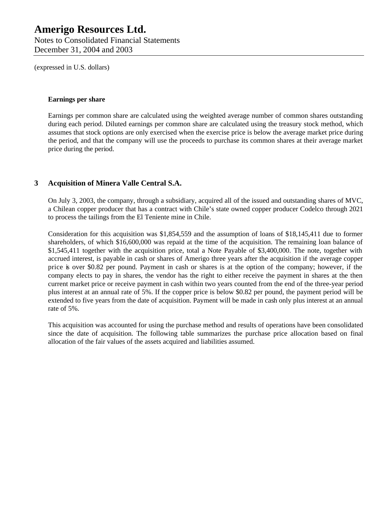Notes to Consolidated Financial Statements December 31, 2004 and 2003

(expressed in U.S. dollars)

#### **Earnings per share**

Earnings per common share are calculated using the weighted average number of common shares outstanding during each period. Diluted earnings per common share are calculated using the treasury stock method, which assumes that stock options are only exercised when the exercise price is below the average market price during the period, and that the company will use the proceeds to purchase its common shares at their average market price during the period.

### **3 Acquisition of Minera Valle Central S.A.**

On July 3, 2003, the company, through a subsidiary, acquired all of the issued and outstanding shares of MVC, a Chilean copper producer that has a contract with Chile's state owned copper producer Codelco through 2021 to process the tailings from the El Teniente mine in Chile.

Consideration for this acquisition was \$1,854,559 and the assumption of loans of \$18,145,411 due to former shareholders, of which \$16,600,000 was repaid at the time of the acquisition. The remaining loan balance of \$1,545,411 together with the acquisition price, total a Note Payable of \$3,400,000. The note, together with accrued interest, is payable in cash or shares of Amerigo three years after the acquisition if the average copper price is over \$0.82 per pound. Payment in cash or shares is at the option of the company; however, if the company elects to pay in shares, the vendor has the right to either receive the payment in shares at the then current market price or receive payment in cash within two years counted from the end of the three-year period plus interest at an annual rate of 5%. If the copper price is below \$0.82 per pound, the payment period will be extended to five years from the date of acquisition. Payment will be made in cash only plus interest at an annual rate of 5%.

This acquisition was accounted for using the purchase method and results of operations have been consolidated since the date of acquisition. The following table summarizes the purchase price allocation based on final allocation of the fair values of the assets acquired and liabilities assumed.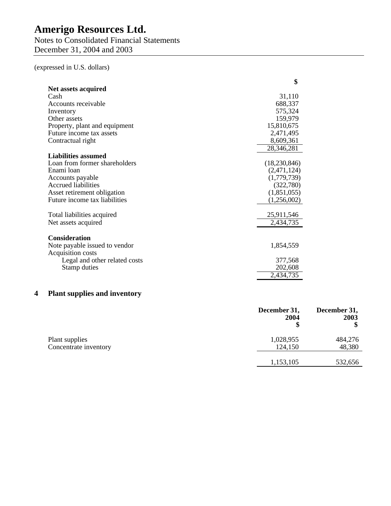Notes to Consolidated Financial Statements December 31, 2004 and 2003

(expressed in U.S. dollars)

| Net assets acquired<br>31,110<br>Cash<br>Accounts receivable<br>688,337<br>575,324<br>Inventory<br>159,979<br>Other assets<br>15,810,675<br>Property, plant and equipment<br>2,471,495<br>Future income tax assets<br>8,609,361<br>Contractual right<br>28,346,281<br><b>Liabilities assumed</b><br>Loan from former shareholders<br>(18,230,846)<br>Enami loan<br>(2,471,124)<br>(1,779,739)<br>Accounts payable<br><b>Accrued liabilities</b><br>(322,780)<br>(1,851,055)<br>Asset retirement obligation<br>Future income tax liabilities<br>(1,256,002)<br>Total liabilities acquired<br>25,911,546<br>2,434,735<br>Net assets acquired<br><b>Consideration</b><br>Note payable issued to vendor<br>1,854,559<br>Acquisition costs<br>Legal and other related costs<br>377,568<br>202,608<br>Stamp duties<br>2,434,735 | \$ |
|---------------------------------------------------------------------------------------------------------------------------------------------------------------------------------------------------------------------------------------------------------------------------------------------------------------------------------------------------------------------------------------------------------------------------------------------------------------------------------------------------------------------------------------------------------------------------------------------------------------------------------------------------------------------------------------------------------------------------------------------------------------------------------------------------------------------------|----|
|                                                                                                                                                                                                                                                                                                                                                                                                                                                                                                                                                                                                                                                                                                                                                                                                                           |    |
|                                                                                                                                                                                                                                                                                                                                                                                                                                                                                                                                                                                                                                                                                                                                                                                                                           |    |
|                                                                                                                                                                                                                                                                                                                                                                                                                                                                                                                                                                                                                                                                                                                                                                                                                           |    |
|                                                                                                                                                                                                                                                                                                                                                                                                                                                                                                                                                                                                                                                                                                                                                                                                                           |    |
|                                                                                                                                                                                                                                                                                                                                                                                                                                                                                                                                                                                                                                                                                                                                                                                                                           |    |
|                                                                                                                                                                                                                                                                                                                                                                                                                                                                                                                                                                                                                                                                                                                                                                                                                           |    |
|                                                                                                                                                                                                                                                                                                                                                                                                                                                                                                                                                                                                                                                                                                                                                                                                                           |    |
|                                                                                                                                                                                                                                                                                                                                                                                                                                                                                                                                                                                                                                                                                                                                                                                                                           |    |
|                                                                                                                                                                                                                                                                                                                                                                                                                                                                                                                                                                                                                                                                                                                                                                                                                           |    |
|                                                                                                                                                                                                                                                                                                                                                                                                                                                                                                                                                                                                                                                                                                                                                                                                                           |    |
|                                                                                                                                                                                                                                                                                                                                                                                                                                                                                                                                                                                                                                                                                                                                                                                                                           |    |
|                                                                                                                                                                                                                                                                                                                                                                                                                                                                                                                                                                                                                                                                                                                                                                                                                           |    |
|                                                                                                                                                                                                                                                                                                                                                                                                                                                                                                                                                                                                                                                                                                                                                                                                                           |    |
|                                                                                                                                                                                                                                                                                                                                                                                                                                                                                                                                                                                                                                                                                                                                                                                                                           |    |
|                                                                                                                                                                                                                                                                                                                                                                                                                                                                                                                                                                                                                                                                                                                                                                                                                           |    |
|                                                                                                                                                                                                                                                                                                                                                                                                                                                                                                                                                                                                                                                                                                                                                                                                                           |    |
|                                                                                                                                                                                                                                                                                                                                                                                                                                                                                                                                                                                                                                                                                                                                                                                                                           |    |
|                                                                                                                                                                                                                                                                                                                                                                                                                                                                                                                                                                                                                                                                                                                                                                                                                           |    |
|                                                                                                                                                                                                                                                                                                                                                                                                                                                                                                                                                                                                                                                                                                                                                                                                                           |    |
|                                                                                                                                                                                                                                                                                                                                                                                                                                                                                                                                                                                                                                                                                                                                                                                                                           |    |
|                                                                                                                                                                                                                                                                                                                                                                                                                                                                                                                                                                                                                                                                                                                                                                                                                           |    |
|                                                                                                                                                                                                                                                                                                                                                                                                                                                                                                                                                                                                                                                                                                                                                                                                                           |    |
|                                                                                                                                                                                                                                                                                                                                                                                                                                                                                                                                                                                                                                                                                                                                                                                                                           |    |
|                                                                                                                                                                                                                                                                                                                                                                                                                                                                                                                                                                                                                                                                                                                                                                                                                           |    |
|                                                                                                                                                                                                                                                                                                                                                                                                                                                                                                                                                                                                                                                                                                                                                                                                                           |    |

## **4 Plant supplies and inventory**

|                                         | December 31,<br>2004 | December 31,<br>2003 |
|-----------------------------------------|----------------------|----------------------|
| Plant supplies<br>Concentrate inventory | 1,028,955<br>124,150 | 484,276<br>48,380    |
|                                         | 1,153,105            | 532,656              |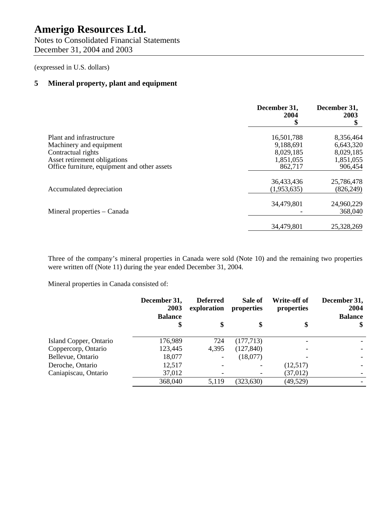Notes to Consolidated Financial Statements December 31, 2004 and 2003

(expressed in U.S. dollars)

### **5 Mineral property, plant and equipment**

|                                              | December 31,<br>2004<br>\$ | December 31,<br>2003 |
|----------------------------------------------|----------------------------|----------------------|
| Plant and infrastructure                     | 16,501,788                 | 8,356,464            |
| Machinery and equipment                      | 9,188,691                  | 6,643,320            |
| Contractual rights                           | 8,029,185                  | 8,029,185            |
| Asset retirement obligations                 | 1,851,055                  | 1,851,055            |
| Office furniture, equipment and other assets | 862,717                    | 906,454              |
|                                              | 36,433,436                 | 25,786,478           |
| Accumulated depreciation                     | (1,953,635)                | (826, 249)           |
|                                              | 34,479,801                 | 24,960,229           |
| Mineral properties – Canada                  |                            | 368,040              |
|                                              | 34,479,801                 | 25,328,269           |

Three of the company's mineral properties in Canada were sold (Note 10) and the remaining two properties were written off (Note 11) during the year ended December 31, 2004.

Mineral properties in Canada consisted of:

|                        | December 31,<br>2003<br><b>Balance</b> | <b>Deferred</b><br>exploration | Sale of<br>properties    | Write-off of<br>properties | December 31,<br>2004<br><b>Balance</b> |
|------------------------|----------------------------------------|--------------------------------|--------------------------|----------------------------|----------------------------------------|
|                        |                                        |                                | \$                       |                            | $\mathbf{\$}$                          |
| Island Copper, Ontario | 176,989                                | 724                            | (177, 713)               |                            |                                        |
| Coppercorp, Ontario    | 123,445                                | 4,395                          | (127, 840)               |                            |                                        |
| Bellevue, Ontario      | 18,077                                 |                                | (18,077)                 |                            |                                        |
| Deroche, Ontario       | 12,517                                 |                                | $\overline{\phantom{a}}$ | (12,517)                   |                                        |
| Caniapiscau, Ontario   | 37,012                                 |                                |                          | (37, 012)                  |                                        |
|                        | 368,040                                | 5,119                          | (323, 630)               | (49, 529)                  |                                        |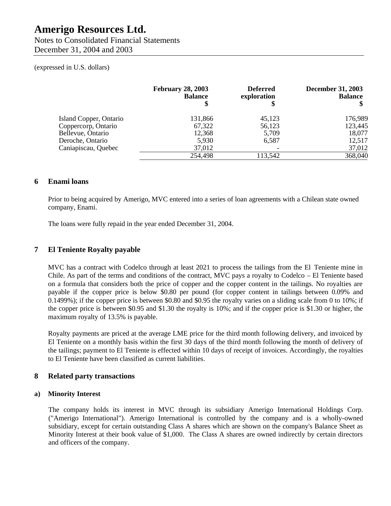Notes to Consolidated Financial Statements December 31, 2004 and 2003

#### (expressed in U.S. dollars)

|                        | <b>February 28, 2003</b><br><b>Balance</b> | <b>Deferred</b><br>exploration | <b>December 31, 2003</b><br><b>Balance</b> |
|------------------------|--------------------------------------------|--------------------------------|--------------------------------------------|
| Island Copper, Ontario | 131,866                                    | 45,123                         | 176,989                                    |
| Coppercorp, Ontario    | 67,322                                     | 56,123                         | 123,445                                    |
| Bellevue, Ontario      | 12,368                                     | 5,709                          | 18,077                                     |
| Deroche, Ontario       | 5,930                                      | 6,587                          | 12,517                                     |
| Caniapiscau, Quebec    | 37,012                                     |                                | 37,012                                     |
|                        | 254,498                                    | 113,542                        | 368,040                                    |

### **6 Enami loans**

Prior to being acquired by Amerigo, MVC entered into a series of loan agreements with a Chilean state owned company, Enami.

The loans were fully repaid in the year ended December 31, 2004.

### **7 El Teniente Royalty payable**

MVC has a contract with Codelco through at least 2021 to process the tailings from the El Teniente mine in Chile. As part of the terms and conditions of the contract, MVC pays a royalty to Codelco – El Teniente based on a formula that considers both the price of copper and the copper content in the tailings. No royalties are payable if the copper price is below \$0.80 per pound (for copper content in tailings between 0.09% and 0.1499%); if the copper price is between \$0.80 and \$0.95 the royalty varies on a sliding scale from 0 to 10%; if the copper price is between \$0.95 and \$1.30 the royalty is 10%; and if the copper price is \$1.30 or higher, the maximum royalty of 13.5% is payable.

Royalty payments are priced at the average LME price for the third month following delivery, and invoiced by El Teniente on a monthly basis within the first 30 days of the third month following the month of delivery of the tailings; payment to El Teniente is effected within 10 days of receipt of invoices. Accordingly, the royalties to El Teniente have been classified as current liabilities.

#### **8 Related party transactions**

#### **a) Minority Interest**

The company holds its interest in MVC through its subsidiary Amerigo International Holdings Corp. ("Amerigo International"). Amerigo International is controlled by the company and is a wholly-owned subsidiary, except for certain outstanding Class A shares which are shown on the company's Balance Sheet as Minority Interest at their book value of \$1,000. The Class A shares are owned indirectly by certain directors and officers of the company.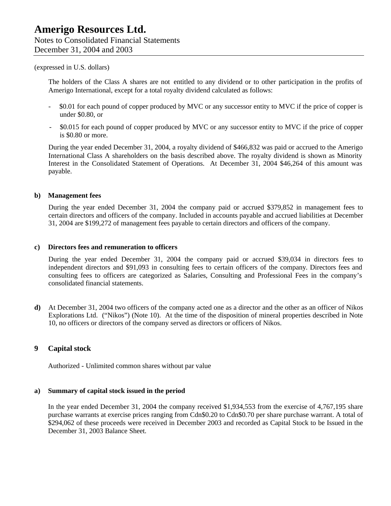#### (expressed in U.S. dollars)

The holders of the Class A shares are not entitled to any dividend or to other participation in the profits of Amerigo International, except for a total royalty dividend calculated as follows:

- \$0.01 for each pound of copper produced by MVC or any successor entity to MVC if the price of copper is under \$0.80, or
- \$0.015 for each pound of copper produced by MVC or any successor entity to MVC if the price of copper is \$0.80 or more.

During the year ended December 31, 2004, a royalty dividend of \$466,832 was paid or accrued to the Amerigo International Class A shareholders on the basis described above. The royalty dividend is shown as Minority Interest in the Consolidated Statement of Operations. At December 31, 2004 \$46,264 of this amount was payable.

#### **b) Management fees**

During the year ended December 31, 2004 the company paid or accrued \$379,852 in management fees to certain directors and officers of the company. Included in accounts payable and accrued liabilities at December 31, 2004 are \$199,272 of management fees payable to certain directors and officers of the company.

#### **c) Directors fees and remuneration to officers**

During the year ended December 31, 2004 the company paid or accrued \$39,034 in directors fees to independent directors and \$91,093 in consulting fees to certain officers of the company. Directors fees and consulting fees to officers are categorized as Salaries, Consulting and Professional Fees in the company's consolidated financial statements.

**d)** At December 31, 2004 two officers of the company acted one as a director and the other as an officer of Nikos Explorations Ltd. ("Nikos") (Note 10). At the time of the disposition of mineral properties described in Note 10, no officers or directors of the company served as directors or officers of Nikos.

### **9 Capital stock**

Authorized - Unlimited common shares without par value

#### **a) Summary of capital stock issued in the period**

In the year ended December 31, 2004 the company received \$1,934,553 from the exercise of 4,767,195 share purchase warrants at exercise prices ranging from Cdn\$0.20 to Cdn\$0.70 per share purchase warrant. A total of \$294,062 of these proceeds were received in December 2003 and recorded as Capital Stock to be Issued in the December 31, 2003 Balance Sheet.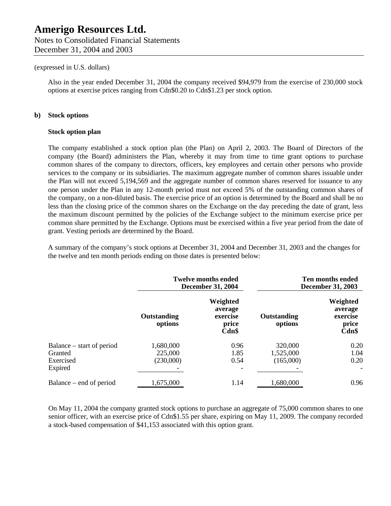Notes to Consolidated Financial Statements December 31, 2004 and 2003

#### (expressed in U.S. dollars)

Also in the year ended December 31, 2004 the company received \$94,979 from the exercise of 230,000 stock options at exercise prices ranging from Cdn\$0.20 to Cdn\$1.23 per stock option.

#### **b) Stock options**

#### **Stock option plan**

The company established a stock option plan (the Plan) on April 2, 2003. The Board of Directors of the company (the Board) administers the Plan, whereby it may from time to time grant options to purchase common shares of the company to directors, officers, key employees and certain other persons who provide services to the company or its subsidiaries. The maximum aggregate number of common shares issuable under the Plan will not exceed 5,194,569 and the aggregate number of common shares reserved for issuance to any one person under the Plan in any 12-month period must not exceed 5% of the outstanding common shares of the company, on a non-diluted basis. The exercise price of an option is determined by the Board and shall be no less than the closing price of the common shares on the Exchange on the day preceding the date of grant, less the maximum discount permitted by the policies of the Exchange subject to the minimum exercise price per common share permitted by the Exchange. Options must be exercised within a five year period from the date of grant. Vesting periods are determined by the Board.

A summary of the company's stock options at December 31, 2004 and December 31, 2003 and the changes for the twelve and ten month periods ending on those dates is presented below:

|                                                   |                                   | <b>Twelve months ended</b><br><b>December 31, 2004</b> |                                   | Ten months ended<br><b>December 31, 2003</b>      |
|---------------------------------------------------|-----------------------------------|--------------------------------------------------------|-----------------------------------|---------------------------------------------------|
|                                                   | Outstanding<br>options            | Weighted<br>average<br>exercise<br>price<br>Cdn\$      | Outstanding<br>options            | Weighted<br>average<br>exercise<br>price<br>Cdn\$ |
| Balance – start of period<br>Granted<br>Exercised | 1,680,000<br>225,000<br>(230,000) | 0.96<br>1.85<br>0.54                                   | 320,000<br>1,525,000<br>(165,000) | 0.20<br>1.04<br>0.20                              |
| Expired                                           |                                   |                                                        |                                   | $\overline{\phantom{a}}$                          |
| Balance – end of period                           | 1,675,000                         | 1.14                                                   | 1,680,000                         | 0.96                                              |

On May 11, 2004 the company granted stock options to purchase an aggregate of 75,000 common shares to one senior officer, with an exercise price of Cdn\$1.55 per share, expiring on May 11, 2009. The company recorded a stock-based compensation of \$41,153 associated with this option grant.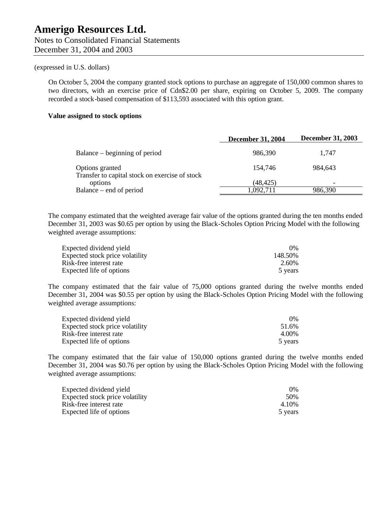#### (expressed in U.S. dollars)

On October 5, 2004 the company granted stock options to purchase an aggregate of 150,000 common shares to two directors, with an exercise price of Cdn\$2.00 per share, expiring on October 5, 2009. The company recorded a stock-based compensation of \$113,593 associated with this option grant.

#### **Value assigned to stock options**

|                                                                   | <b>December 31, 2004</b> | <b>December 31, 2003</b> |
|-------------------------------------------------------------------|--------------------------|--------------------------|
| Balance – beginning of period                                     | 986,390                  | 1.747                    |
| Options granted<br>Transfer to capital stock on exercise of stock | 154,746                  | 984,643                  |
| options                                                           | (48, 425)                | -                        |
| Balance – end of period                                           | 1,092,711                | 986,390                  |

The company estimated that the weighted average fair value of the options granted during the ten months ended December 31, 2003 was \$0.65 per option by using the Black-Scholes Option Pricing Model with the following weighted average assumptions:

| Expected dividend yield         | $0\%$   |
|---------------------------------|---------|
| Expected stock price volatility | 148.50% |
| Risk-free interest rate         | 2.60%   |
| Expected life of options        | 5 years |

The company estimated that the fair value of 75,000 options granted during the twelve months ended December 31, 2004 was \$0.55 per option by using the Black-Scholes Option Pricing Model with the following weighted average assumptions:

| Expected dividend yield         | $0\%$   |
|---------------------------------|---------|
| Expected stock price volatility | 51.6%   |
| Risk-free interest rate         | 4.00%   |
| Expected life of options        | 5 years |

The company estimated that the fair value of 150,000 options granted during the twelve months ended December 31, 2004 was \$0.76 per option by using the Black-Scholes Option Pricing Model with the following weighted average assumptions:

| Expected dividend yield         | $0\%$   |
|---------------------------------|---------|
| Expected stock price volatility | 50%     |
| Risk-free interest rate         | 4.10%   |
| Expected life of options        | 5 years |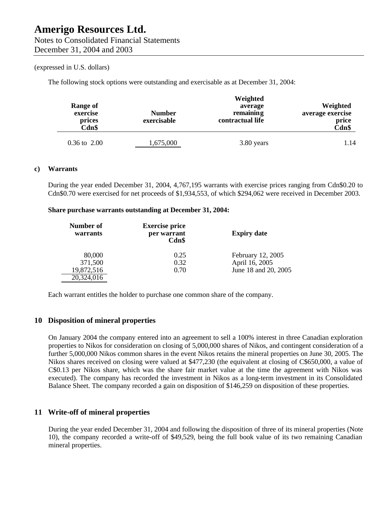#### (expressed in U.S. dollars)

The following stock options were outstanding and exercisable as at December 31, 2004:

| Range of<br>exercise<br>prices<br>Cdn\$ | <b>Number</b><br>exercisable | Weighted<br>average<br>remaining<br>contractual life | Weighted<br>average exercise<br>price<br>Cdn\$ |
|-----------------------------------------|------------------------------|------------------------------------------------------|------------------------------------------------|
| $0.36 \text{ to } 2.00$                 | 1,675,000                    | 3.80 years                                           | 1.14                                           |

#### **c) Warrants**

During the year ended December 31, 2004, 4,767,195 warrants with exercise prices ranging from Cdn\$0.20 to Cdn\$0.70 were exercised for net proceeds of \$1,934,553, of which \$294,062 were received in December 2003.

#### **Share purchase warrants outstanding at December 31, 2004:**

| Number of<br>warrants | <b>Exercise price</b><br>per warrant<br>Cdn\$ | <b>Expiry date</b>   |  |
|-----------------------|-----------------------------------------------|----------------------|--|
| 80,000                | 0.25                                          | February 12, 2005    |  |
| 371,500               | 0.32                                          | April 16, 2005       |  |
| 19,872,516            | 0.70                                          | June 18 and 20, 2005 |  |
| 20,324,016            |                                               |                      |  |

Each warrant entitles the holder to purchase one common share of the company.

### **10 Disposition of mineral properties**

On January 2004 the company entered into an agreement to sell a 100% interest in three Canadian exploration properties to Nikos for consideration on closing of 5,000,000 shares of Nikos, and contingent consideration of a further 5,000,000 Nikos common shares in the event Nikos retains the mineral properties on June 30, 2005. The Nikos shares received on closing were valued at \$477,230 (the equivalent at closing of C\$650,000, a value of C\$0.13 per Nikos share, which was the share fair market value at the time the agreement with Nikos was executed). The company has recorded the investment in Nikos as a long-term investment in its Consolidated Balance Sheet. The company recorded a gain on disposition of \$146,259 on disposition of these properties.

### **11 Write-off of mineral properties**

During the year ended December 31, 2004 and following the disposition of three of its mineral properties (Note 10), the company recorded a write-off of \$49,529, being the full book value of its two remaining Canadian mineral properties.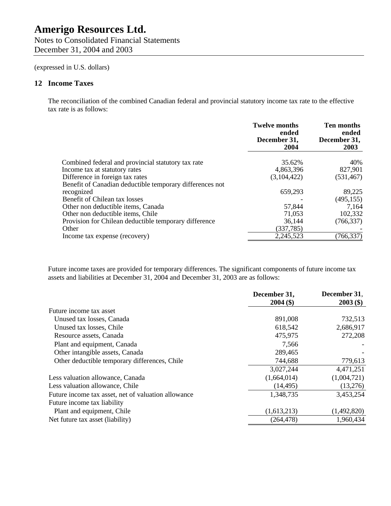Notes to Consolidated Financial Statements December 31, 2004 and 2003

(expressed in U.S. dollars)

#### **12 Income Taxes**

The reconciliation of the combined Canadian federal and provincial statutory income tax rate to the effective tax rate is as follows:

|                                                          | <b>Twelve months</b><br>ended | <b>Ten months</b><br>ended |
|----------------------------------------------------------|-------------------------------|----------------------------|
|                                                          | December 31,<br>2004          | December 31,<br>2003       |
| Combined federal and provincial statutory tax rate       | 35.62%                        | 40%                        |
| Income tax at statutory rates                            | 4,863,396                     | 827,901                    |
| Difference in foreign tax rates                          | (3,104,422)                   | (531, 467)                 |
| Benefit of Canadian deductible temporary differences not |                               |                            |
| recognized                                               | 659,293                       | 89,225                     |
| Benefit of Chilean tax losses                            |                               | (495, 155)                 |
| Other non deductible items, Canada                       | 57,844                        | 7,164                      |
| Other non deductible items, Chile                        | 71,053                        | 102,332                    |
| Provision for Chilean deductible temporary difference    | 36,144                        | (766, 337)                 |
| Other                                                    | (337, 785)                    |                            |
| Income tax expense (recovery)                            | 2,245,523                     | (766, 337)                 |

Future income taxes are provided for temporary differences. The significant components of future income tax assets and liabilities at December 31, 2004 and December 31, 2003 are as follows:

|                                                     | December 31, | December 31, |
|-----------------------------------------------------|--------------|--------------|
|                                                     | $2004($ \$)  | $2003($ \$)  |
| Future income tax asset                             |              |              |
| Unused tax losses, Canada                           | 891,008      | 732,513      |
| Unused tax losses, Chile                            | 618,542      | 2,686,917    |
| Resource assets, Canada                             | 475,975      | 272,208      |
| Plant and equipment, Canada                         | 7,566        |              |
| Other intangible assets, Canada                     | 289,465      |              |
| Other deductible temporary differences, Chile       | 744,688      | 779,613      |
|                                                     | 3,027,244    | 4,471,251    |
| Less valuation allowance, Canada                    | (1,664,014)  | (1,004,721)  |
| Less valuation allowance, Chile                     | (14, 495)    | (13,276)     |
| Future income tax asset, net of valuation allowance | 1,348,735    | 3,453,254    |
| Future income tax liability                         |              |              |
| Plant and equipment, Chile                          | (1,613,213)  | (1,492,820)  |
| Net future tax asset (liability)                    | (264, 478)   | 1,960,434    |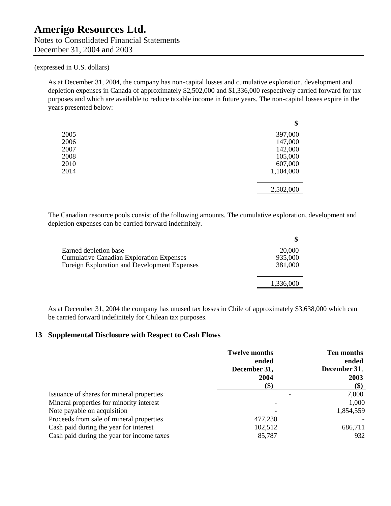Notes to Consolidated Financial Statements December 31, 2004 and 2003

#### (expressed in U.S. dollars)

As at December 31, 2004, the company has non-capital losses and cumulative exploration, development and depletion expenses in Canada of approximately \$2,502,000 and \$1,336,000 respectively carried forward for tax purposes and which are available to reduce taxable income in future years. The non-capital losses expire in the years presented below:

|      | \$        |
|------|-----------|
| 2005 | 397,000   |
| 2006 | 147,000   |
| 2007 | 142,000   |
| 2008 | 105,000   |
| 2010 | 607,000   |
| 2014 | 1,104,000 |
|      | 2,502,000 |

The Canadian resource pools consist of the following amounts. The cumulative exploration, development and depletion expenses can be carried forward indefinitely.

| 20,000    |
|-----------|
| 935,000   |
| 381,000   |
| 1,336,000 |
|           |

As at December 31, 2004 the company has unused tax losses in Chile of approximately \$3,638,000 which can be carried forward indefinitely for Chilean tax purposes.

#### **13 Supplemental Disclosure with Respect to Cash Flows**

|                                            | <b>Twelve months</b> | <b>Ten months</b> |
|--------------------------------------------|----------------------|-------------------|
|                                            | ended                | ended             |
|                                            | December 31,         | December 31,      |
|                                            | 2004                 | 2003              |
|                                            | \$)                  | $(\$)$            |
| Issuance of shares for mineral properties  |                      | 7,000             |
| Mineral properties for minority interest   |                      | 1,000             |
| Note payable on acquisition                |                      | 1,854,559         |
| Proceeds from sale of mineral properties   | 477,230              |                   |
| Cash paid during the year for interest     | 102,512              | 686,711           |
| Cash paid during the year for income taxes | 85,787               | 932               |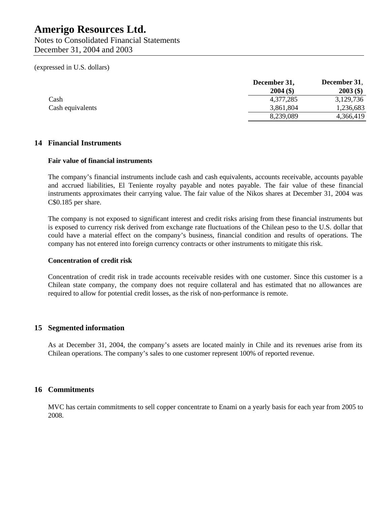(expressed in U.S. dollars)

|                  | December 31, | December 31, |
|------------------|--------------|--------------|
|                  | $2004($ \$)  | $2003($ \$)  |
| Cash             | 4,377,285    | 3,129,736    |
| Cash equivalents | 3,861,804    | 1,236,683    |
|                  | 8,239,089    | 4,366,419    |

#### **14 Financial Instruments**

#### **Fair value of financial instruments**

The company's financial instruments include cash and cash equivalents, accounts receivable, accounts payable and accrued liabilities, El Teniente royalty payable and notes payable. The fair value of these financial instruments approximates their carrying value. The fair value of the Nikos shares at December 31, 2004 was C\$0.185 per share.

The company is not exposed to significant interest and credit risks arising from these financial instruments but is exposed to currency risk derived from exchange rate fluctuations of the Chilean peso to the U.S. dollar that could have a material effect on the company's business, financial condition and results of operations. The company has not entered into foreign currency contracts or other instruments to mitigate this risk.

#### **Concentration of credit risk**

Concentration of credit risk in trade accounts receivable resides with one customer. Since this customer is a Chilean state company, the company does not require collateral and has estimated that no allowances are required to allow for potential credit losses, as the risk of non-performance is remote.

#### **15 Segmented information**

As at December 31, 2004, the company's assets are located mainly in Chile and its revenues arise from its Chilean operations. The company's sales to one customer represent 100% of reported revenue.

#### **16 Commitments**

MVC has certain commitments to sell copper concentrate to Enami on a yearly basis for each year from 2005 to 2008.